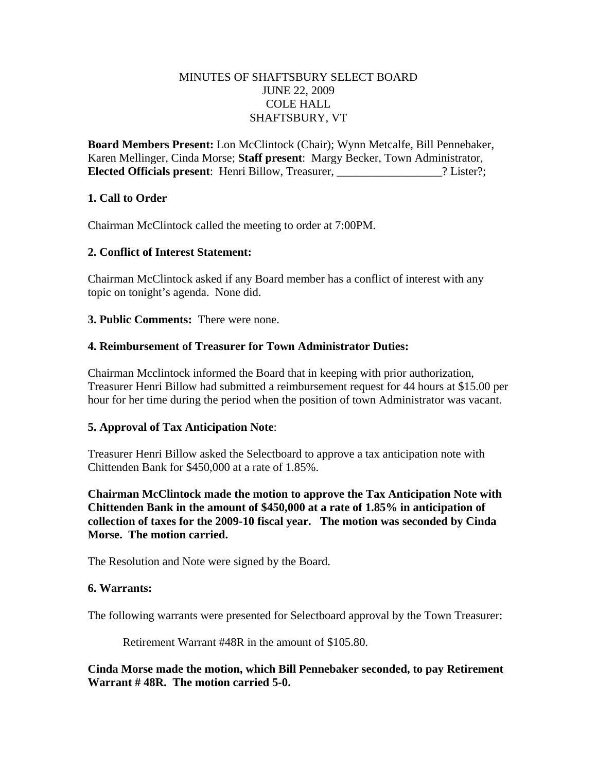### MINUTES OF SHAFTSBURY SELECT BOARD JUNE 22, 2009 COLE HALL SHAFTSBURY, VT

**Board Members Present:** Lon McClintock (Chair); Wynn Metcalfe, Bill Pennebaker, Karen Mellinger, Cinda Morse; **Staff present**: Margy Becker, Town Administrator, **Elected Officials present**: Henri Billow, Treasurer,  $\qquad$ ? Lister?;

### **1. Call to Order**

Chairman McClintock called the meeting to order at 7:00PM.

### **2. Conflict of Interest Statement:**

Chairman McClintock asked if any Board member has a conflict of interest with any topic on tonight's agenda. None did.

**3. Public Comments:** There were none.

## **4. Reimbursement of Treasurer for Town Administrator Duties:**

Chairman Mcclintock informed the Board that in keeping with prior authorization, Treasurer Henri Billow had submitted a reimbursement request for 44 hours at \$15.00 per hour for her time during the period when the position of town Administrator was vacant.

# **5. Approval of Tax Anticipation Note**:

Treasurer Henri Billow asked the Selectboard to approve a tax anticipation note with Chittenden Bank for \$450,000 at a rate of 1.85%.

**Chairman McClintock made the motion to approve the Tax Anticipation Note with Chittenden Bank in the amount of \$450,000 at a rate of 1.85% in anticipation of collection of taxes for the 2009-10 fiscal year. The motion was seconded by Cinda Morse. The motion carried.**

The Resolution and Note were signed by the Board.

#### **6. Warrants:**

The following warrants were presented for Selectboard approval by the Town Treasurer:

Retirement Warrant #48R in the amount of \$105.80.

**Cinda Morse made the motion, which Bill Pennebaker seconded, to pay Retirement Warrant # 48R. The motion carried 5-0.**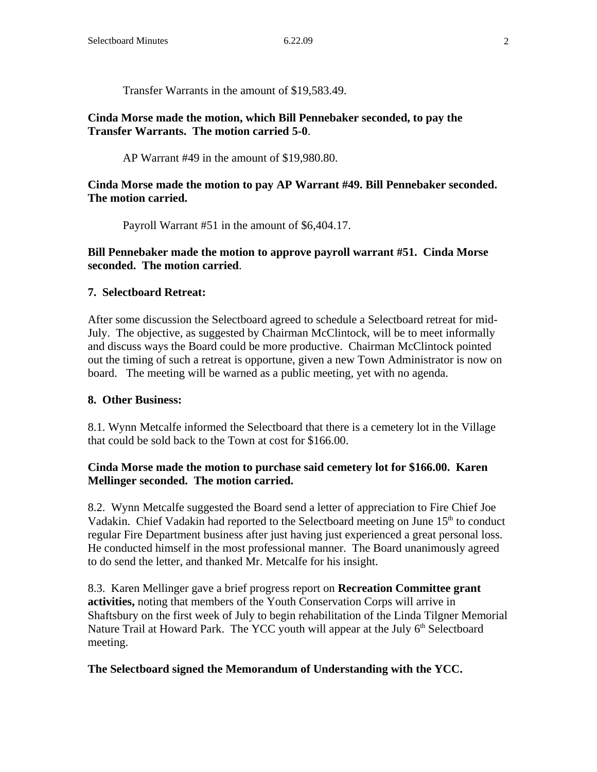Transfer Warrants in the amount of \$19,583.49.

**Cinda Morse made the motion, which Bill Pennebaker seconded, to pay the Transfer Warrants. The motion carried 5-0**.

AP Warrant #49 in the amount of \$19,980.80.

### **Cinda Morse made the motion to pay AP Warrant #49. Bill Pennebaker seconded. The motion carried.**

Payroll Warrant #51 in the amount of \$6,404.17.

### **Bill Pennebaker made the motion to approve payroll warrant #51. Cinda Morse seconded. The motion carried**.

### **7. Selectboard Retreat:**

After some discussion the Selectboard agreed to schedule a Selectboard retreat for mid-July. The objective, as suggested by Chairman McClintock, will be to meet informally and discuss ways the Board could be more productive. Chairman McClintock pointed out the timing of such a retreat is opportune, given a new Town Administrator is now on board. The meeting will be warned as a public meeting, yet with no agenda.

#### **8. Other Business:**

8.1. Wynn Metcalfe informed the Selectboard that there is a cemetery lot in the Village that could be sold back to the Town at cost for \$166.00.

### **Cinda Morse made the motion to purchase said cemetery lot for \$166.00. Karen Mellinger seconded. The motion carried.**

8.2. Wynn Metcalfe suggested the Board send a letter of appreciation to Fire Chief Joe Vadakin. Chief Vadakin had reported to the Selectboard meeting on June  $15<sup>th</sup>$  to conduct regular Fire Department business after just having just experienced a great personal loss. He conducted himself in the most professional manner. The Board unanimously agreed to do send the letter, and thanked Mr. Metcalfe for his insight.

8.3. Karen Mellinger gave a brief progress report on **Recreation Committee grant activities,** noting that members of the Youth Conservation Corps will arrive in Shaftsbury on the first week of July to begin rehabilitation of the Linda Tilgner Memorial Nature Trail at Howard Park. The YCC youth will appear at the July  $6<sup>th</sup>$  Selectboard meeting.

#### **The Selectboard signed the Memorandum of Understanding with the YCC.**